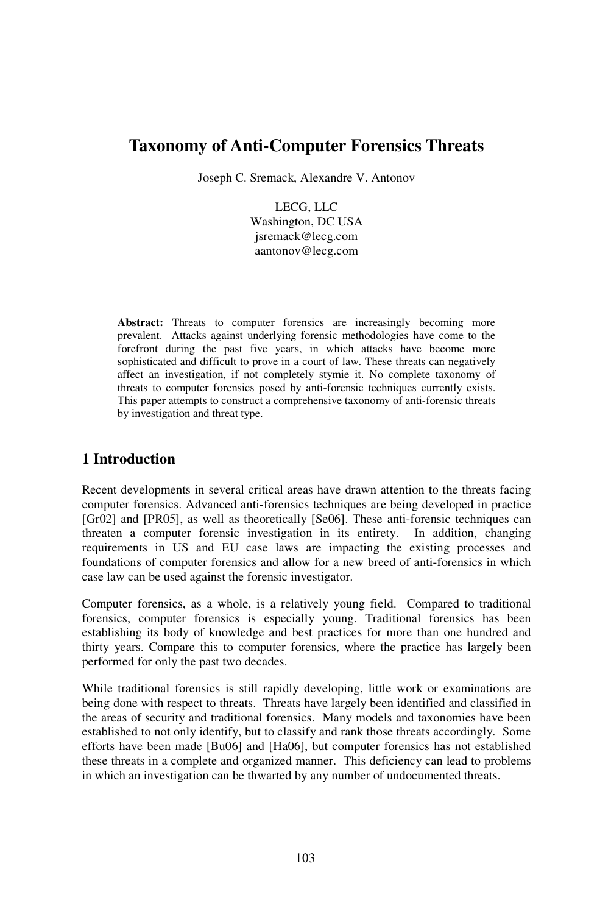# **Taxonomy of Anti-Computer Forensics Threats**

Joseph C. Sremack, Alexandre V. Antonov

LECG, LLC Washington, DC USA jsremack@lecg.com aantonov@lecg.com

Abstract: Threats to computer forensics are increasingly becoming more prevalent. Attacks against underlying forensic methodologies have come to the forefront during the past five years, in which attacks have become more sophisticated and difficult to prove in a court of law. These threats can negatively affect an investigation, if not completely stymie it. No complete taxonomy of threats to computer forensics posed by anti-forensic techniques currently exists. This paper attempts to construct a comprehensive taxonomy of anti-forensic threats by investigation and threat type.

# **1 Introduction**

Recent developments in several critical areas have drawn attention to the threats facing computer forensics. Advanced anti-forensics techniques are being developed in practice [Gr02] and [PR05], as well as theoretically [Se06]. These anti-forensic techniques can threaten a computer forensic investigation in its entirety. In addition, changing requirements in US and EU case laws are impacting the existing processes and foundations of computer forensics and allow for a new breed of anti-forensics in which case law can be used against the forensic investigator.

Computer forensics, as a whole, is a relatively young field. Compared to traditional forensics, computer forensics is especially young. Traditional forensics has been establishing its body of knowledge and best practices for more than one hundred and thirty years. Compare this to computer forensics, where the practice has largely been performed for only the past two decades.

While traditional forensics is still rapidly developing, little work or examinations are being done with respect to threats. Threats have largely been identified and classified in the areas of security and traditional forensics. Many models and taxonomies have been established to not only identify, but to classify and rank those threats accordingly. Some efforts have been made [Bu06] and [Ha06], but computer forensics has not established these threats in a complete and organized manner. This deficiency can lead to problems in which an investigation can be thwarted by any number of undocumented threats.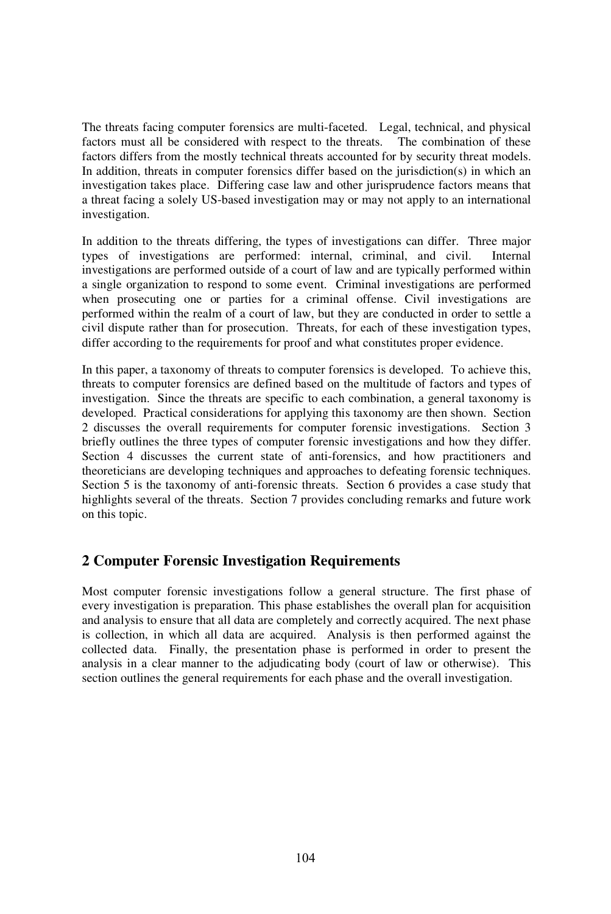The threats facing computer forensics are multi-faceted. Legal, technical, and physical factors must all be considered with respect to the threats. The combination of these factors must all be considered with respect to the threats. factors differs from the mostly technical threats accounted for by security threat models. In addition, threats in computer forensics differ based on the jurisdiction(s) in which an investigation takes place. Differing case law and other jurisprudence factors means that a threat facing a solely US-based investigation may or may not apply to an international investigation.

In addition to the threats differing, the types of investigations can differ. Three major types of investigations are performed: internal, criminal, and civil. Internal types of investigations are performed: internal, criminal, and civil. investigations are performed outside of a court of law and are typically performed within a single organization to respond to some event. Criminal investigations are performed when prosecuting one or parties for a criminal offense. Civil investigations are performed within the realm of a court of law, but they are conducted in order to settle a civil dispute rather than for prosecution. Threats, for each of these investigation types, differ according to the requirements for proof and what constitutes proper evidence.

In this paper, a taxonomy of threats to computer forensics is developed. To achieve this, threats to computer forensics are defined based on the multitude of factors and types of investigation. Since the threats are specific to each combination, a general taxonomy is developed. Practical considerations for applying this taxonomy are then shown. Section 2 discusses the overall requirements for computer forensic investigations. Section 3 briefly outlines the three types of computer forensic investigations and how they differ. Section 4 discusses the current state of anti-forensics, and how practitioners and theoreticians are developing techniques and approaches to defeating forensic techniques. Section 5 is the taxonomy of anti-forensic threats. Section 6 provides a case study that highlights several of the threats. Section 7 provides concluding remarks and future work on this topic.

### **2 Computer Forensic Investigation Requirements**

Most computer forensic investigations follow a general structure. The first phase of every investigation is preparation. This phase establishes the overall plan for acquisition and analysis to ensure that all data are completely and correctly acquired. The next phase is collection, in which all data are acquired. Analysis is then performed against the collected data. Finally, the presentation phase is performed in order to present the analysis in a clear manner to the adjudicating body (court of law or otherwise). This section outlines the general requirements for each phase and the overall investigation.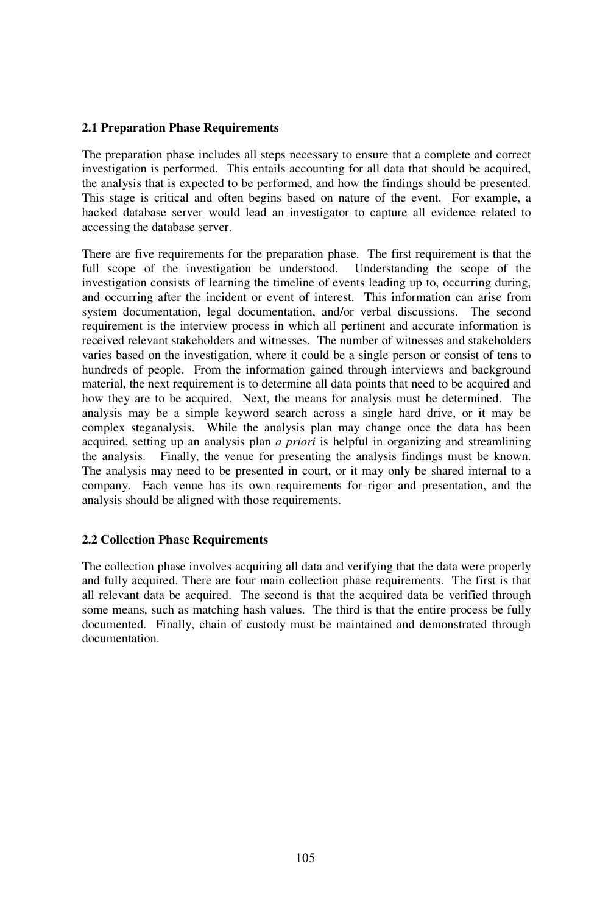#### **2.1 Preparation Phase Requirements**

The preparation phase includes all steps necessary to ensure that a complete and correct investigation is performed. This entails accounting for all data that should be acquired, the analysis that is expected to be performed, and how the findings should be presented. This stage is critical and often begins based on nature of the event. For example, a hacked database server would lead an investigator to capture all evidence related to accessing the database server.

There are five requirements for the preparation phase. The first requirement is that the full scope of the investigation be understood. Understanding the scope of the full scope of the investigation be understood. investigation consists of learning the timeline of events leading up to, occurring during, and occurring after the incident or event of interest. This information can arise from system documentation, legal documentation, and/or verbal discussions. The second requirement is the interview process in which all pertinent and accurate information is received relevant stakeholders and witnesses. The number of witnesses and stakeholders varies based on the investigation, where it could be a single person or consist of tens to hundreds of people. From the information gained through interviews and background material, the next requirement is to determine all data points that need to be acquired and how they are to be acquired. Next, the means for analysis must be determined. The analysis may be a simple keyword search across a single hard drive, or it may be complex steganalysis. While the analysis plan may change once the data has been acquired, setting up an analysis plan *a priori* is helpful in organizing and streamlining the analysis. Finally, the venue for presenting the analysis findings must be known. The analysis may need to be presented in court, or it may only be shared internal to a company. Each venue has its own requirements for rigor and presentation, and the analysis should be aligned with those requirements.

#### **2.2 Collection Phase Requirements**

The collection phase involves acquiring all data and verifying that the data were properly and fully acquired. There are four main collection phase requirements. The first is that all relevant data be acquired. The second is that the acquired data be verified through some means, such as matching hash values. The third is that the entire process be fully documented. Finally, chain of custody must be maintained and demonstrated through documentation.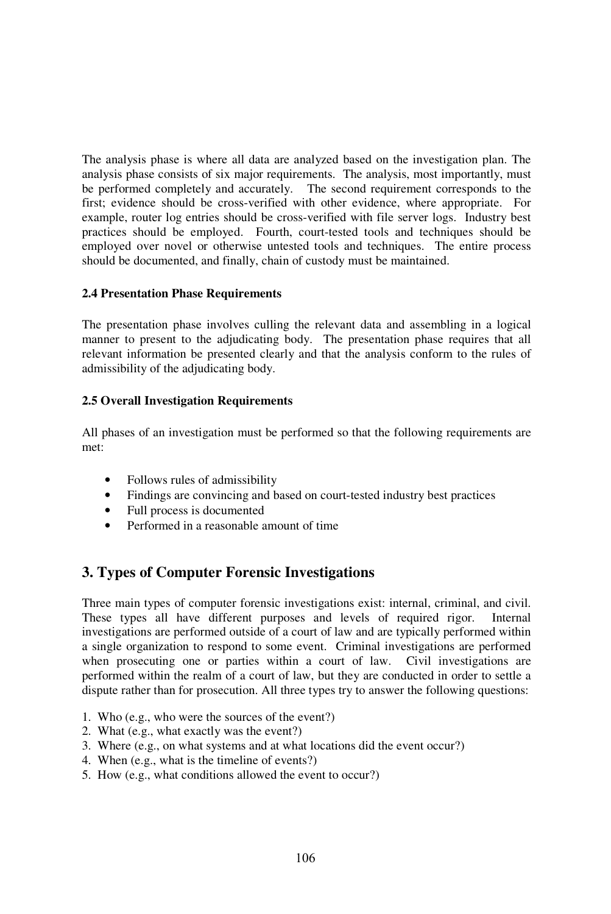The analysis phase is where all data are analyzed based on the investigation plan. The analysis phase consists of six major requirements. The analysis, most importantly, must be performed completely and accurately. The second requirement corresponds to the first; evidence should be cross-verified with other evidence, where appropriate. For example, router log entries should be cross-verified with file server logs. Industry best practices should be employed. Fourth, court-tested tools and techniques should be employed over novel or otherwise untested tools and techniques. The entire process should be documented, and finally, chain of custody must be maintained.

#### **2.4 Presentation Phase Requirements**

The presentation phase involves culling the relevant data and assembling in a logical manner to present to the adjudicating body. The presentation phase requires that all relevant information be presented clearly and that the analysis conform to the rules of admissibility of the adjudicating body.

#### **2.5 Overall Investigation Requirements**

All phases of an investigation must be performed so that the following requirements are met:

- Follows rules of admissibility
- Findings are convincing and based on court-tested industry best practices
- Full process is documented
- Performed in a reasonable amount of time

# **3. Types of Computer Forensic Investigations**

Three main types of computer forensic investigations exist: internal, criminal, and civil. These types all have different purposes and levels of required rigor. Internal investigations are performed outside of a court of law and are typically performed within a single organization to respond to some event. Criminal investigations are performed when prosecuting one or parties within a court of law. Civil investigations are performed within the realm of a court of law, but they are conducted in order to settle a dispute rather than for prosecution. All three types try to answer the following questions:

- 1. Who (e.g., who were the sources of the event?)
- 2. What (e.g., what exactly was the event?)
- 3. Where (e.g., on what systems and at what locations did the event occur?)
- 4. When (e.g., what is the timeline of events?)
- 5. How (e.g., what conditions allowed the event to occur?)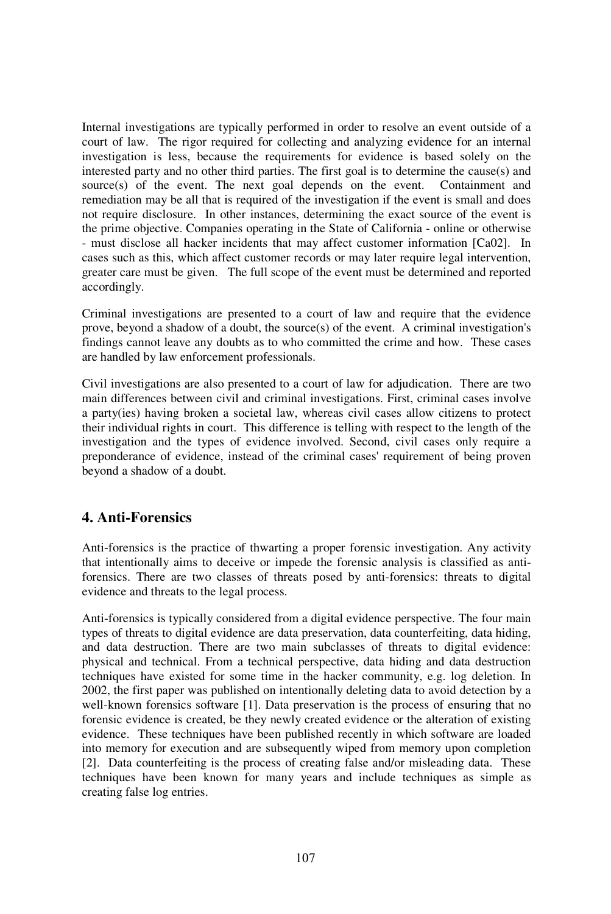Internal investigations are typically performed in order to resolve an event outside of a court of law. The rigor required for collecting and analyzing evidence for an internal investigation is less, because the requirements for evidence is based solely on the interested party and no other third parties. The first goal is to determine the cause(s) and source(s) of the event. The next goal depends on the event. Containment and source $(s)$  of the event. The next goal depends on the event. remediation may be all that is required of the investigation if the event is small and does not require disclosure. In other instances, determining the exact source of the event is the prime objective. Companies operating in the State of California - online or otherwise - must disclose all hacker incidents that may affect customer information [Ca02]. In cases such as this, which affect customer records or may later require legal intervention, greater care must be given. The full scope of the event must be determined and reported accordingly.

Criminal investigations are presented to a court of law and require that the evidence prove, beyond a shadow of a doubt, the source(s) of the event. A criminal investigation's findings cannot leave any doubts as to who committed the crime and how. These cases are handled by law enforcement professionals.

Civil investigations are also presented to a court of law for adjudication. There are two main differences between civil and criminal investigations. First, criminal cases involve a party(ies) having broken a societal law, whereas civil cases allow citizens to protect their individual rights in court. This difference is telling with respect to the length of the investigation and the types of evidence involved. Second, civil cases only require a preponderance of evidence, instead of the criminal cases' requirement of being proven beyond a shadow of a doubt.

### **4. Anti-Forensics**

Anti-forensics is the practice of thwarting a proper forensic investigation. Any activity that intentionally aims to deceive or impede the forensic analysis is classified as antiforensics. There are two classes of threats posed by anti-forensics: threats to digital evidence and threats to the legal process.

Anti-forensics is typically considered from a digital evidence perspective. The four main types of threats to digital evidence are data preservation, data counterfeiting, data hiding, and data destruction. There are two main subclasses of threats to digital evidence: physical and technical. From a technical perspective, data hiding and data destruction techniques have existed for some time in the hacker community, e.g. log deletion. In 2002, the first paper was published on intentionally deleting data to avoid detection by a well-known forensics software [1]. Data preservation is the process of ensuring that no forensic evidence is created, be they newly created evidence or the alteration of existing evidence. These techniques have been published recently in which software are loaded into memory for execution and are subsequently wiped from memory upon completion [2]. Data counterfeiting is the process of creating false and/or misleading data. These techniques have been known for many years and include techniques as simple as creating false log entries.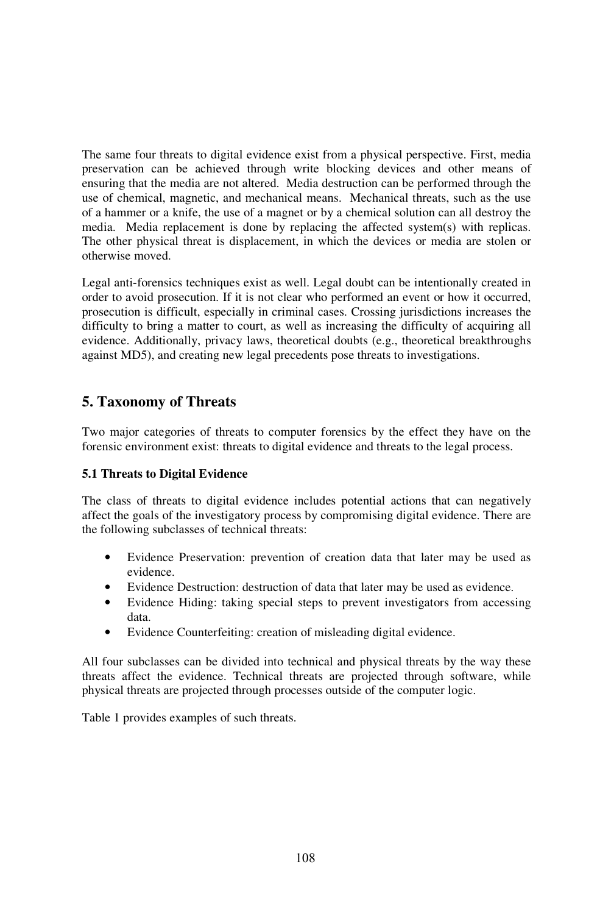The same four threats to digital evidence exist from a physical perspective. First, media preservation can be achieved through write blocking devices and other means of ensuring that the media are not altered. Media destruction can be performed through the use of chemical, magnetic, and mechanical means. Mechanical threats, such as the use of a hammer or a knife, the use of a magnet or by a chemical solution can all destroy the media. Media replacement is done by replacing the affected system(s) with replicas. The other physical threat is displacement, in which the devices or media are stolen or otherwise moved.

Legal anti-forensics techniques exist as well. Legal doubt can be intentionally created in order to avoid prosecution. If it is not clear who performed an event or how it occurred, prosecution is difficult, especially in criminal cases. Crossing jurisdictions increases the difficulty to bring a matter to court, as well as increasing the difficulty of acquiring all evidence. Additionally, privacy laws, theoretical doubts (e.g., theoretical breakthroughs against MD5), and creating new legal precedents pose threats to investigations.

# **5. Taxonomy of Threats**

Two major categories of threats to computer forensics by the effect they have on the forensic environment exist: threats to digital evidence and threats to the legal process.

### **5.1 Threats to Digital Evidence**

The class of threats to digital evidence includes potential actions that can negatively affect the goals of the investigatory process by compromising digital evidence. There are the following subclasses of technical threats:

- Evidence Preservation: prevention of creation data that later may be used as evidence.
- Evidence Destruction: destruction of data that later may be used as evidence.
- Evidence Hiding: taking special steps to prevent investigators from accessing data.
- Evidence Counterfeiting: creation of misleading digital evidence.

All four subclasses can be divided into technical and physical threats by the way these threats affect the evidence. Technical threats are projected through software, while physical threats are projected through processes outside of the computer logic.

Table 1 provides examples of such threats.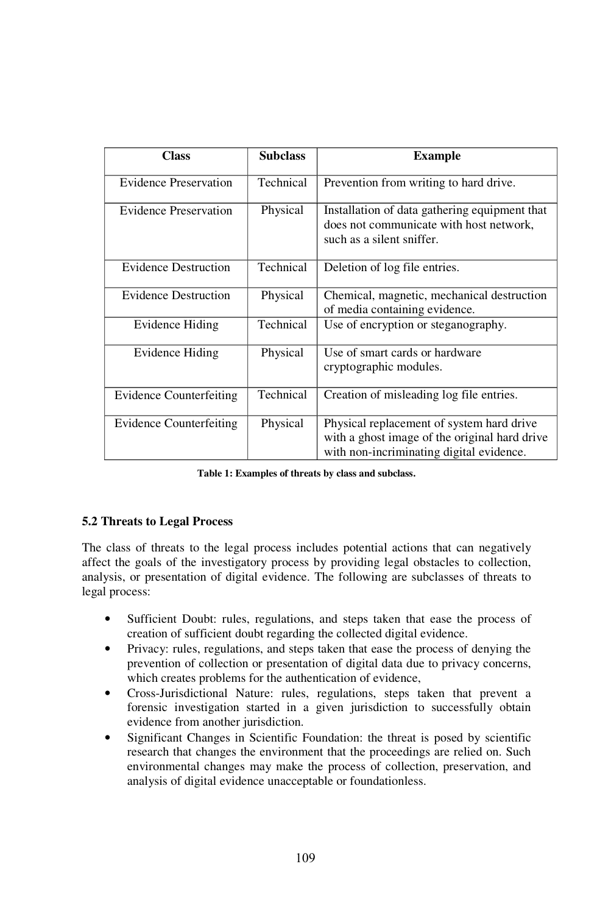| Class                          | <b>Subclass</b> | <b>Example</b>                                                                                                                         |
|--------------------------------|-----------------|----------------------------------------------------------------------------------------------------------------------------------------|
| <b>Evidence Preservation</b>   | Technical       | Prevention from writing to hard drive.                                                                                                 |
| <b>Evidence Preservation</b>   | Physical        | Installation of data gathering equipment that<br>does not communicate with host network,<br>such as a silent sniffer.                  |
| <b>Evidence Destruction</b>    | Technical       | Deletion of log file entries.                                                                                                          |
| <b>Evidence Destruction</b>    | Physical        | Chemical, magnetic, mechanical destruction<br>of media containing evidence.                                                            |
| Evidence Hiding                | Technical       | Use of encryption or steganography.                                                                                                    |
| Evidence Hiding                | Physical        | Use of smart cards or hardware<br>cryptographic modules.                                                                               |
| <b>Evidence Counterfeiting</b> | Technical       | Creation of misleading log file entries.                                                                                               |
| <b>Evidence Counterfeiting</b> | Physical        | Physical replacement of system hard drive<br>with a ghost image of the original hard drive<br>with non-incriminating digital evidence. |

**Table 1: Examples of threats by class and subclass.**

### **5.2 Threats to Legal Process**

The class of threats to the legal process includes potential actions that can negatively affect the goals of the investigatory process by providing legal obstacles to collection, analysis, or presentation of digital evidence. The following are subclasses of threats to legal process:

- Sufficient Doubt: rules, regulations, and steps taken that ease the process of creation of sufficient doubt regarding the collected digital evidence.
- Privacy: rules, regulations, and steps taken that ease the process of denying the prevention of collection or presentation of digital data due to privacy concerns, which creates problems for the authentication of evidence,
- Cross-Jurisdictional Nature: rules, regulations, steps taken that prevent a forensic investigation started in a given jurisdiction to successfully obtain evidence from another jurisdiction.
- Significant Changes in Scientific Foundation: the threat is posed by scientific research that changes the environment that the proceedings are relied on. Such environmental changes may make the process of collection, preservation, and analysis of digital evidence unacceptable or foundationless.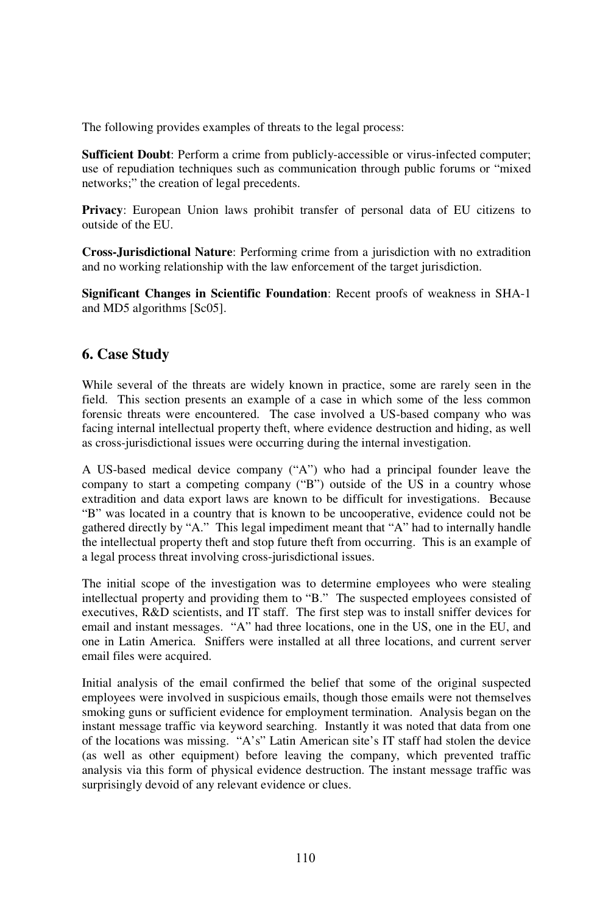The following provides examples of threats to the legal process:

**Sufficient Doubt**: Perform a crime from publicly-accessible or virus-infected computer; use of repudiation techniques such as communication through public forums or "mixed networks;" the creation of legal precedents.

**Privacy**: European Union laws prohibit transfer of personal data of EU citizens to outside of the EU.

**Cross-Jurisdictional Nature**: Performing crime from a jurisdiction with no extradition and no working relationship with the law enforcement of the target jurisdiction.

**Significant Changes in Scientific Foundation**: Recent proofs of weakness in SHA-1 and MD5 algorithms [Sc05].

## **6. Case Study**

While several of the threats are widely known in practice, some are rarely seen in the field. This section presents an example of a case in which some of the less common forensic threats were encountered. The case involved a US-based company who was facing internal intellectual property theft, where evidence destruction and hiding, as well as cross-jurisdictional issues were occurring during the internal investigation.

A US-based medical device company ("A") who had a principal founder leave the company to start a competing company ("B") outside of the US in a country whose extradition and data export laws are known to be difficult for investigations. Because "B" was located in a country that is known to be uncooperative, evidence could not be gathered directly by "A." This legal impediment meant that "A" had to internally handle the intellectual property theft and stop future theft from occurring. This is an example of a legal process threat involving cross-jurisdictional issues.

The initial scope of the investigation was to determine employees who were stealing intellectual property and providing them to "B." The suspected employees consisted of executives, R&D scientists, and IT staff. The first step was to install sniffer devices for email and instant messages. "A" had three locations, one in the US, one in the EU, and one in Latin America. Sniffers were installed at all three locations, and current server email files were acquired.

Initial analysis of the email confirmed the belief that some of the original suspected employees were involved in suspicious emails, though those emails were not themselves smoking guns or sufficient evidence for employment termination. Analysis began on the instant message traffic via keyword searching. Instantly it was noted that data from one of the locations was missing. "A's" Latin American site's IT staff had stolen the device (as well as other equipment) before leaving the company, which prevented traffic analysis via this form of physical evidence destruction. The instant message traffic was surprisingly devoid of any relevant evidence or clues.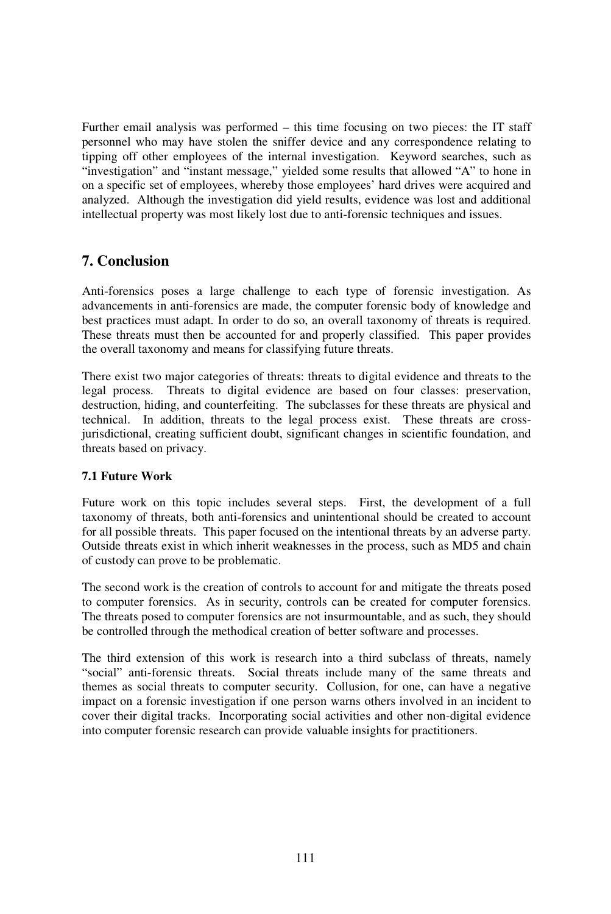Further email analysis was performed – this time focusing on two pieces: the IT staff personnel who may have stolen the sniffer device and any correspondence relating to tipping off other employees of the internal investigation. Keyword searches, such as "investigation" and "instant message," yielded some results that allowed "A" to hone in on a specific set of employees, whereby those employees' hard drives were acquired and analyzed. Although the investigation did yield results, evidence was lost and additional intellectual property was most likely lost due to anti-forensic techniques and issues.

### **7. Conclusion**

Anti-forensics poses a large challenge to each type of forensic investigation. As advancements in anti-forensics are made, the computer forensic body of knowledge and best practices must adapt. In order to do so, an overall taxonomy of threats is required. These threats must then be accounted for and properly classified. This paper provides the overall taxonomy and means for classifying future threats.

There exist two major categories of threats: threats to digital evidence and threats to the legal process. Threats to digital evidence are based on four classes: preservation, destruction, hiding, and counterfeiting. The subclasses for these threats are physical and technical. In addition, threats to the legal process exist. These threats are crossjurisdictional, creating sufficient doubt, significant changes in scientific foundation, and threats based on privacy.

### **7.1 Future Work**

Future work on this topic includes several steps. First, the development of a full taxonomy of threats, both anti-forensics and unintentional should be created to account for all possible threats. This paper focused on the intentional threats by an adverse party. Outside threats exist in which inherit weaknesses in the process, such as MD5 and chain of custody can prove to be problematic.

The second work is the creation of controls to account for and mitigate the threats posed to computer forensics. As in security, controls can be created for computer forensics. The threats posed to computer forensics are not insurmountable, and as such, they should be controlled through the methodical creation of better software and processes.

The third extension of this work is research into a third subclass of threats, namely "social" anti-forensic threats. Social threats include many of the same threats and themes as social threats to computer security. Collusion, for one, can have a negative impact on a forensic investigation if one person warns others involved in an incident to cover their digital tracks. Incorporating social activities and other non-digital evidence into computer forensic research can provide valuable insights for practitioners.